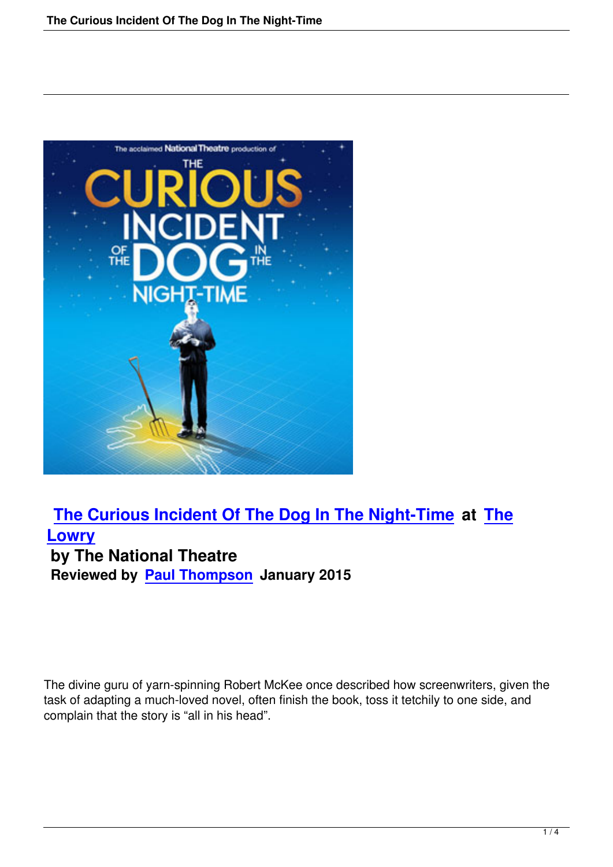

## **The Curious Incident Of The Dog In The Night-Time at The Lowry by The National Theatre [Reviewed by Paul Thompson January 2015](the-curious-incident-of-the-dog-in-the-night-time.html)**

The divine guru of yarn-spinning Robert McKee once described how screenwriters, given the task of adapting a much-loved novel, often finish the book, toss it tetchily to one side, and complain that the story is "all in his head".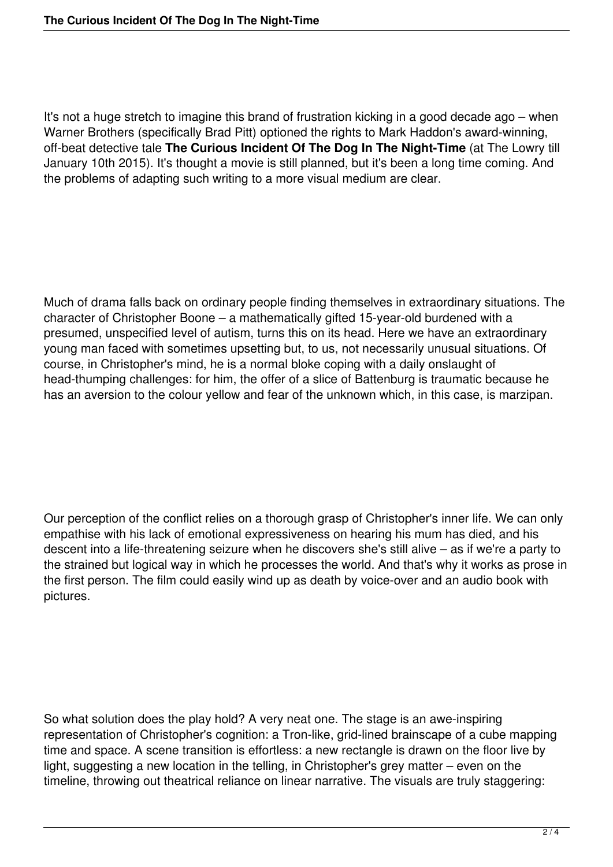It's not a huge stretch to imagine this brand of frustration kicking in a good decade ago – when Warner Brothers (specifically Brad Pitt) optioned the rights to Mark Haddon's award-winning, off-beat detective tale **The Curious Incident Of The Dog In The Night-Time** (at The Lowry till January 10th 2015). It's thought a movie is still planned, but it's been a long time coming. And the problems of adapting such writing to a more visual medium are clear.

Much of drama falls back on ordinary people finding themselves in extraordinary situations. The character of Christopher Boone – a mathematically gifted 15-year-old burdened with a presumed, unspecified level of autism, turns this on its head. Here we have an extraordinary young man faced with sometimes upsetting but, to us, not necessarily unusual situations. Of course, in Christopher's mind, he is a normal bloke coping with a daily onslaught of head-thumping challenges: for him, the offer of a slice of Battenburg is traumatic because he has an aversion to the colour yellow and fear of the unknown which, in this case, is marzipan.

Our perception of the conflict relies on a thorough grasp of Christopher's inner life. We can only empathise with his lack of emotional expressiveness on hearing his mum has died, and his descent into a life-threatening seizure when he discovers she's still alive – as if we're a party to the strained but logical way in which he processes the world. And that's why it works as prose in the first person. The film could easily wind up as death by voice-over and an audio book with pictures.

So what solution does the play hold? A very neat one. The stage is an awe-inspiring representation of Christopher's cognition: a Tron-like, grid-lined brainscape of a cube mapping time and space. A scene transition is effortless: a new rectangle is drawn on the floor live by light, suggesting a new location in the telling, in Christopher's grey matter – even on the timeline, throwing out theatrical reliance on linear narrative. The visuals are truly staggering: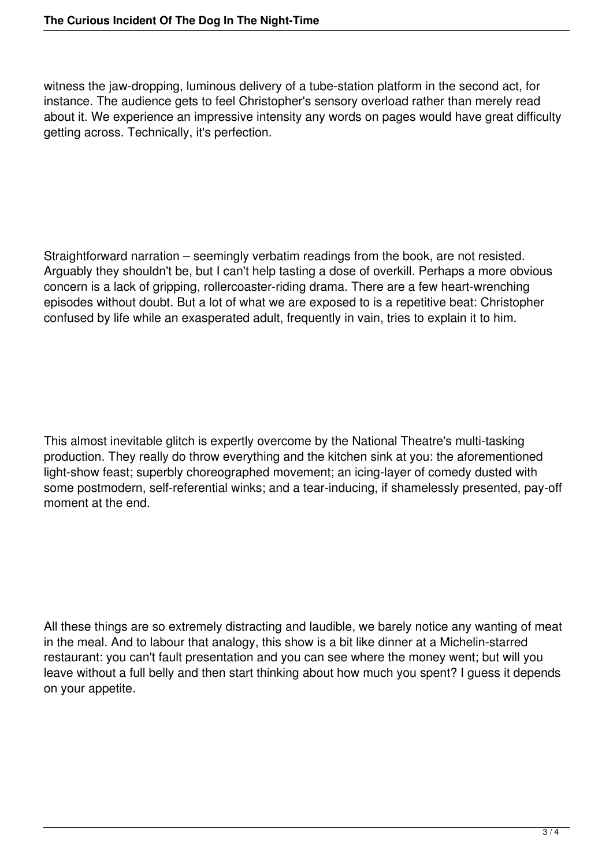witness the jaw-dropping, luminous delivery of a tube-station platform in the second act, for instance. The audience gets to feel Christopher's sensory overload rather than merely read about it. We experience an impressive intensity any words on pages would have great difficulty getting across. Technically, it's perfection.

Straightforward narration – seemingly verbatim readings from the book, are not resisted. Arguably they shouldn't be, but I can't help tasting a dose of overkill. Perhaps a more obvious concern is a lack of gripping, rollercoaster-riding drama. There are a few heart-wrenching episodes without doubt. But a lot of what we are exposed to is a repetitive beat: Christopher confused by life while an exasperated adult, frequently in vain, tries to explain it to him.

This almost inevitable glitch is expertly overcome by the National Theatre's multi-tasking production. They really do throw everything and the kitchen sink at you: the aforementioned light-show feast; superbly choreographed movement; an icing-layer of comedy dusted with some postmodern, self-referential winks; and a tear-inducing, if shamelessly presented, pay-off moment at the end.

All these things are so extremely distracting and laudible, we barely notice any wanting of meat in the meal. And to labour that analogy, this show is a bit like dinner at a Michelin-starred restaurant: you can't fault presentation and you can see where the money went; but will you leave without a full belly and then start thinking about how much you spent? I guess it depends on your appetite.